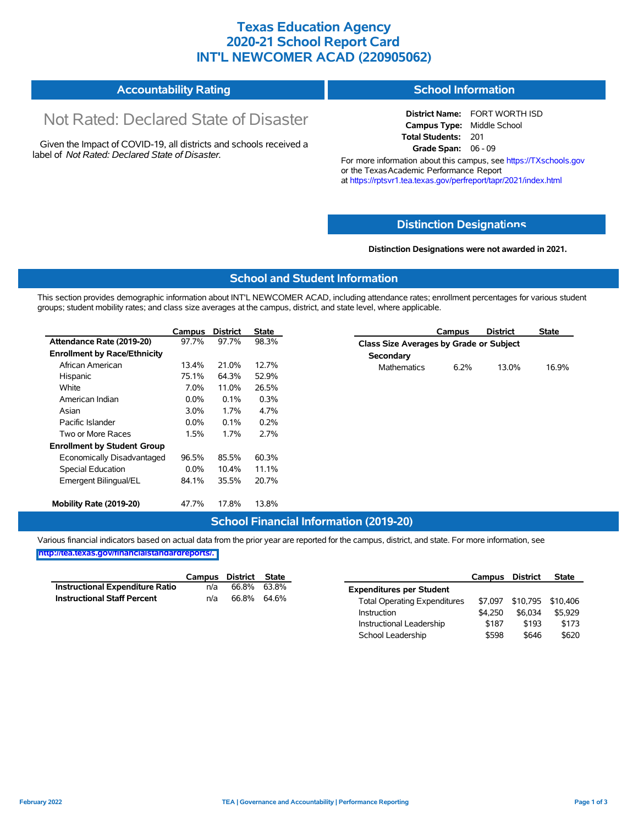### **Texas Education Agency 2020-21 School Report Card INT'L NEWCOMER ACAD (220905062)**

#### **Accountability Rating School Information**

# Not Rated: Declared State of Disaster

Given the Impact of COVID-19, all districts and schools received a label of *Not Rated: Declared State of Disaster.*

**District Name:** FORT WORTH ISD **Campus Type:** Middle School **Total Students:** 201 **Grade Span:** 06 - 09

For more information about this campus, see https://TXschools.gov or the Texas Academic Performance Report at https://rptsvr1.tea.texas.gov/perfreport/tapr/2021/index.html

#### **Distinction Designat[ions](https://TXschools.gov)**

**Distinction Designations were not awarded in 2021.**

School Leadership  $$598$  \$646 \$620

#### **School and Student Information**

This section provides demographic information about INT'L NEWCOMER ACAD, including attendance rates; enrollment percentages for various student groups; student mobility rates; and class size averages at the campus, district, and state level, where applicable.

|                                     | Campus  | <b>District</b> | <b>State</b> | <b>District</b><br><b>State</b><br>Campus    |
|-------------------------------------|---------|-----------------|--------------|----------------------------------------------|
| Attendance Rate (2019-20)           | 97.7%   | 97.7%           | 98.3%        | Class Size Averages by Grade or Subject      |
| <b>Enrollment by Race/Ethnicity</b> |         |                 |              | Secondary                                    |
| African American                    | 13.4%   | 21.0%           | 12.7%        | 13.0%<br>16.9%<br><b>Mathematics</b><br>6.2% |
| Hispanic                            | 75.1%   | 64.3%           | 52.9%        |                                              |
| White                               | 7.0%    | 11.0%           | 26.5%        |                                              |
| American Indian                     | $0.0\%$ | 0.1%            | 0.3%         |                                              |
| Asian                               | 3.0%    | 1.7%            | 4.7%         |                                              |
| Pacific Islander                    | $0.0\%$ | 0.1%            | 0.2%         |                                              |
| Two or More Races                   | 1.5%    | $1.7\%$         | 2.7%         |                                              |
| <b>Enrollment by Student Group</b>  |         |                 |              |                                              |
| Economically Disadvantaged          | 96.5%   | 85.5%           | 60.3%        |                                              |
| Special Education                   | $0.0\%$ | 10.4%           | 11.1%        |                                              |
| Emergent Bilingual/EL               | 84.1%   | 35.5%           | 20.7%        |                                              |
| Mobility Rate (2019-20)             | 47.7%   | 17.8%           | 13.8%        |                                              |

#### **School Financial Information (2019-20)**

Various financial indicators based on actual data from the prior year are reported for the campus, district, and state. For more information, see

**[http://tea.texas.gov/financialstandardreports/.](http://tea.texas.gov/financialstandardreports/)**

|                                    | Campus | District | <b>State</b> |                                     | Campus  | <b>District</b>           | <b>State</b> |
|------------------------------------|--------|----------|--------------|-------------------------------------|---------|---------------------------|--------------|
| Instructional Expenditure Ratio    | n/a    | 66.8%    | 63.8%        | <b>Expenditures per Student</b>     |         |                           |              |
| <b>Instructional Staff Percent</b> | n/a    | 66.8%    | 64.6%        | <b>Total Operating Expenditures</b> |         | \$7,097 \$10,795 \$10,406 |              |
|                                    |        |          |              | Instruction                         | \$4.250 | \$6.034                   | \$5.929      |
|                                    |        |          |              | Instructional Leadership            | \$187   | \$193                     | \$173        |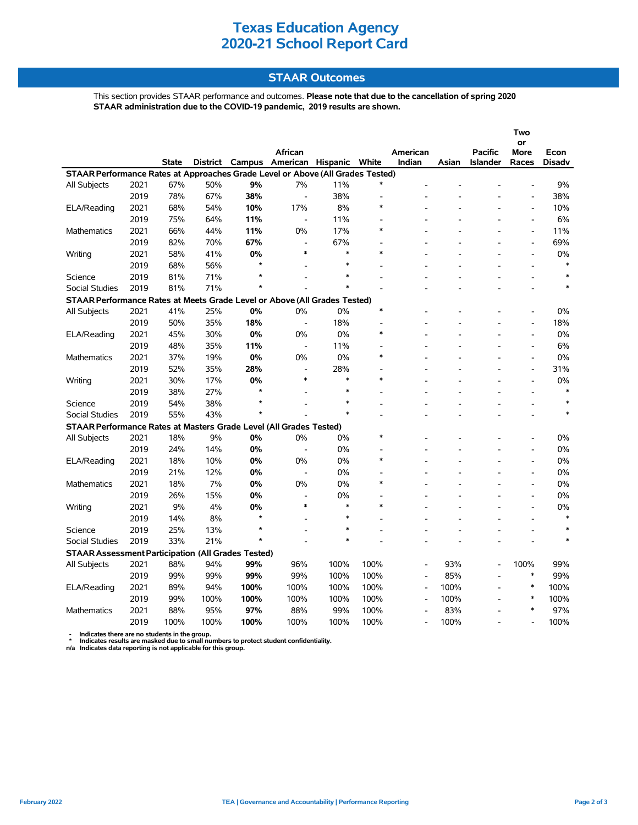### **Texas Education Agency 2020-21 School Report Card**

#### **STAAR Outcomes**

This section provides STAAR performance and outcomes. **Please note that due to the cancellation of spring 2020 STAAR administration due to the COVID-19 pandemic, 2019 results are shown.**

|                                                                                     |      |              |                 |         |                          |        |                                    |                          |       |                 | Two                      |                       |
|-------------------------------------------------------------------------------------|------|--------------|-----------------|---------|--------------------------|--------|------------------------------------|--------------------------|-------|-----------------|--------------------------|-----------------------|
|                                                                                     |      |              |                 |         | <b>African</b>           |        |                                    |                          |       | <b>Pacific</b>  | or                       |                       |
|                                                                                     |      | <b>State</b> | <b>District</b> | Campus  | American Hispanic        |        | White                              | American<br>Indian       | Asian | <b>Islander</b> | More<br>Races            | Econ<br><b>Disadv</b> |
| STAAR Performance Rates at Approaches Grade Level or Above (All Grades Tested)      |      |              |                 |         |                          |        |                                    |                          |       |                 |                          |                       |
| All Subjects                                                                        | 2021 | 67%          | 50%             | 9%      | 7%                       | 11%    | $\ast$                             |                          |       |                 |                          | 9%                    |
|                                                                                     | 2019 | 78%          | 67%             | 38%     | $\overline{\phantom{a}}$ | 38%    |                                    |                          |       |                 |                          | 38%                   |
| ELA/Reading                                                                         | 2021 | 68%          | 54%             | 10%     | 17%                      | 8%     | $\ast$                             |                          |       |                 | $\overline{a}$           | 10%                   |
|                                                                                     | 2019 | 75%          | 64%             | 11%     | $\overline{\phantom{a}}$ | 11%    |                                    |                          |       |                 | $\overline{\phantom{a}}$ | 6%                    |
| <b>Mathematics</b>                                                                  | 2021 | 66%          | 44%             | 11%     | 0%                       | 17%    | $\ast$                             |                          |       |                 | $\blacksquare$           | 11%                   |
|                                                                                     | 2019 | 82%          | 70%             | 67%     | $\blacksquare$           | 67%    |                                    |                          |       |                 | $\overline{a}$           | 69%                   |
| Writing                                                                             | 2021 | 58%          | 41%             | 0%      | $\ast$                   | *      | $\ast$                             |                          |       |                 | $\overline{a}$           | 0%                    |
|                                                                                     | 2019 | 68%          | 56%             | $\star$ |                          | *      |                                    |                          |       |                 | $\overline{a}$           | $\ast$                |
|                                                                                     | 2019 | 81%          | 71%             | $\star$ |                          | $\ast$ |                                    |                          |       |                 |                          | $\ast$                |
| Science<br><b>Social Studies</b>                                                    | 2019 | 81%          | 71%             | $\star$ |                          | $\ast$ |                                    |                          |       |                 |                          | $\ast$                |
|                                                                                     |      |              |                 |         |                          |        |                                    |                          |       |                 |                          |                       |
| STAAR Performance Rates at Meets Grade Level or Above (All Grades Tested)<br>$\ast$ |      |              |                 |         |                          |        |                                    |                          |       |                 |                          |                       |
| All Subjects                                                                        | 2021 | 41%          | 25%             | 0%      | 0%                       | 0%     |                                    |                          |       |                 |                          | 0%                    |
|                                                                                     | 2019 | 50%          | 35%             | 18%     | $\overline{\phantom{a}}$ | 18%    | $\ast$                             |                          |       |                 |                          | 18%                   |
| ELA/Reading                                                                         | 2021 | 45%          | 30%             | 0%      | 0%                       | 0%     |                                    |                          |       |                 | $\overline{a}$           | 0%                    |
|                                                                                     | 2019 | 48%          | 35%             | 11%     | $\overline{\phantom{a}}$ | 11%    | $\overline{\phantom{a}}$<br>$\ast$ |                          |       |                 | $\blacksquare$           | 6%                    |
| <b>Mathematics</b>                                                                  | 2021 | 37%          | 19%             | 0%      | 0%                       | 0%     |                                    |                          |       |                 | $\overline{a}$           | 0%                    |
|                                                                                     | 2019 | 52%          | 35%             | 28%     | $\blacksquare$           | 28%    |                                    |                          |       |                 | $\overline{a}$           | 31%                   |
| Writing                                                                             | 2021 | 30%          | 17%             | 0%      | $\ast$                   | $\ast$ | $\ast$                             |                          |       |                 | $\overline{a}$           | 0%                    |
|                                                                                     | 2019 | 38%          | 27%             | $\star$ |                          | $\ast$ |                                    |                          |       |                 | $\overline{a}$           | $\ast$                |
| Science                                                                             | 2019 | 54%          | 38%             | $\star$ |                          | $\ast$ |                                    |                          |       |                 |                          | $\ast$                |
| <b>Social Studies</b>                                                               | 2019 | 55%          | 43%             | $\star$ |                          | $\ast$ |                                    |                          |       |                 |                          | $\ast$                |
| STAAR Performance Rates at Masters Grade Level (All Grades Tested)                  |      |              |                 |         |                          |        |                                    |                          |       |                 |                          |                       |
| All Subjects                                                                        | 2021 | 18%          | 9%              | 0%      | 0%                       | 0%     | $\ast$                             |                          |       |                 |                          | 0%                    |
|                                                                                     | 2019 | 24%          | 14%             | 0%      | $\blacksquare$           | 0%     |                                    |                          |       |                 |                          | 0%                    |
| ELA/Reading                                                                         | 2021 | 18%          | 10%             | 0%      | 0%                       | 0%     | $\ast$                             |                          |       |                 | $\overline{a}$           | 0%                    |
|                                                                                     | 2019 | 21%          | 12%             | 0%      | $\overline{\phantom{a}}$ | 0%     |                                    |                          |       |                 | $\blacksquare$           | 0%                    |
| <b>Mathematics</b>                                                                  | 2021 | 18%          | 7%              | 0%      | 0%                       | 0%     | $\ast$                             |                          |       |                 | $\overline{a}$           | 0%                    |
|                                                                                     | 2019 | 26%          | 15%             | 0%      | $\blacksquare$           | 0%     |                                    |                          |       |                 |                          | 0%                    |
| Writing                                                                             | 2021 | 9%           | 4%              | 0%      | $\ast$                   | $\ast$ | $\ast$                             |                          |       |                 |                          | 0%                    |
|                                                                                     | 2019 | 14%          | 8%              | $\star$ |                          | *      |                                    |                          |       |                 |                          | $\ast$                |
| Science                                                                             | 2019 | 25%          | 13%             | $\star$ |                          | $\ast$ |                                    |                          |       |                 |                          | $\ast$                |
| <b>Social Studies</b>                                                               | 2019 | 33%          | 21%             | $\star$ |                          | $\ast$ |                                    |                          |       |                 |                          | $\ast$                |
| <b>STAAR Assessment Participation (All Grades Tested)</b>                           |      |              |                 |         |                          |        |                                    |                          |       |                 |                          |                       |
| All Subjects                                                                        | 2021 | 88%          | 94%             | 99%     | 96%                      | 100%   | 100%                               |                          | 93%   |                 | 100%                     | 99%                   |
|                                                                                     | 2019 | 99%          | 99%             | 99%     | 99%                      | 100%   | 100%                               | $\overline{a}$           | 85%   |                 | $\ast$                   | 99%                   |
| ELA/Reading                                                                         | 2021 | 89%          | 94%             | 100%    | 100%                     | 100%   | 100%                               | $\overline{a}$           | 100%  |                 | $\ast$                   | 100%                  |
|                                                                                     | 2019 | 99%          | 100%            | 100%    | 100%                     | 100%   | 100%                               | $\overline{\phantom{a}}$ | 100%  |                 | $\ast$                   | 100%                  |
| <b>Mathematics</b>                                                                  | 2021 | 88%          | 95%             | 97%     | 88%                      | 99%    | 100%                               | $\overline{\phantom{a}}$ | 83%   |                 | $\ast$                   | 97%                   |
|                                                                                     | 2019 | 100%         | 100%            | 100%    | 100%                     | 100%   | 100%                               |                          | 100%  |                 |                          | 100%                  |

 **- Indicates there are no students in the group. \* Indicates results are masked due to small numbers to protect student confidentiality.**

**n/a Indicates data reporting is not applicable for this group.**